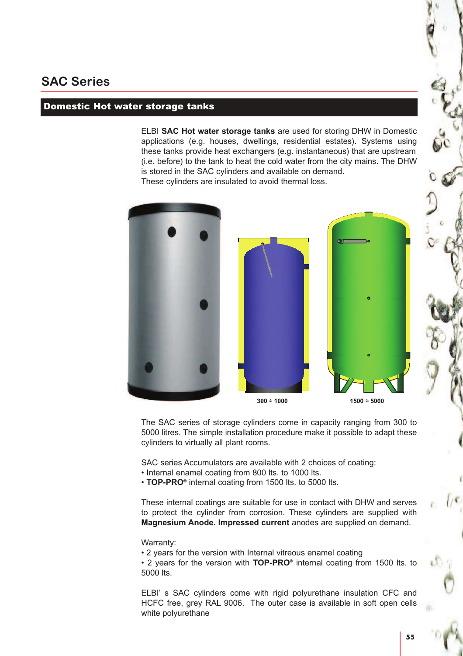# **SAC Series**

#### Domestic Hot water storage tanks

ELBI **SAC Hot water storage tanks** are used for storing DHW in Domestic applications (e.g. houses, dwellings, residential estates). Systems using these tanks provide heat exchangers (e.g. instantaneous) that are upstream (i.e. before) to the tank to heat the cold water from the city mains. The DHW is stored in the SAC cylinders and available on demand. These cylinders are insulated to avoid thermal loss.





 $1500 + 5000$ 

The SAC series of storage cylinders come in capacity ranging from 300 to 5000 litres. The simple installation procedure make it possible to adapt these cylinders to virtually all plant rooms.

SAC series Accumulators are available with 2 choices of coating:

• Internal enamel coating from 800 lts. to 1000 lts.

• **TOP-PRO®** internal coating from 1500 lts. to 5000 lts.

These internal coatings are suitable for use in contact with DHW and serves to protect the cylinder from corrosion. These cylinders are supplied with **Magnesium Anode. Impressed current** anodes are supplied on demand.

#### Warranty:

• 2 years for the version with Internal vitreous enamel coating

• 2 years for the version with TOP-PRO<sup>®</sup> internal coating from 1500 lts. to 5000 lts.

ELBI' s SAC cylinders come with rigid polyurethane insulation CFC and HCFC free, grey RAL 9006. The outer case is available in soft open cells white polyurethane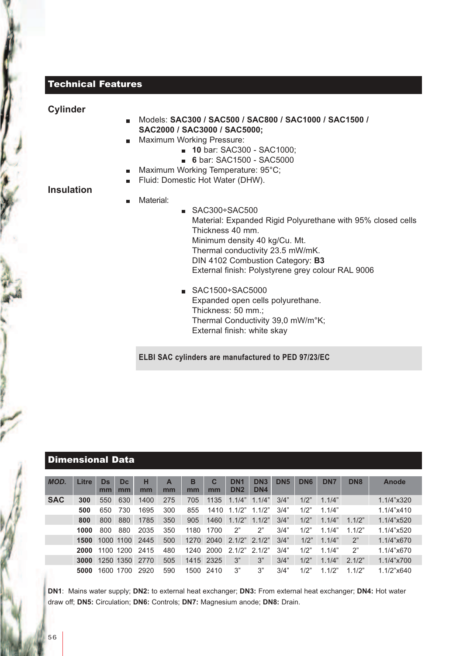### Technical Features

#### **Cylinder**

**Insulation**

- Models: **SAC300 / SAC500 / SAC800 / SAC1000 / SAC1500 / SAC2000 / SAC3000 / SAC5000;**
- **Maximum Working Pressure:** 
	- **10** bar: SAC300 SAC1000;
	- **6** bar: SAC1500 SAC5000
- Maximum Working Temperature: 95°C;  $\blacksquare$
- Fluid: Domestic Hot Water (DHW).

#### Material:

- $SAC300+SAC500$ Material: Expanded Rigid Polyurethane with 95% closed cells Thickness 40 mm. Minimum density 40 kg/Cu. Mt. Thermal conductivity 23.5 mW/mK. DIN 4102 Combustion Category: **B3** External finish: Polystyrene grey colour RAL 9006
	- $SAC1500\div SAC5000$ Expanded open cells polyurethane. Thickness: 50 mm.; Thermal Conductivity 39,0 mW/m°K; External finish: white skay

#### **ELBI SAC cylinders are manufactured to PED 97/23/EC**

### Dimensional Data

| <b>MOD.</b> | Litre | Ds   | <b>Dc</b> | н    | A   | В    | C         | DN <sub>1</sub> | DN <sub>3</sub> | DN <sub>5</sub> | DN <sub>6</sub> | DN <sub>7</sub> | DN <sub>8</sub> | Anode      |
|-------------|-------|------|-----------|------|-----|------|-----------|-----------------|-----------------|-----------------|-----------------|-----------------|-----------------|------------|
|             |       | mm   | mm        | mm   | mm  | mm   | mm        | DN <sub>2</sub> | DN4             |                 |                 |                 |                 |            |
| <b>SAC</b>  | 300   | 550  | 630       | 1400 | 275 | 705  | 1135      | 1.1/4"          | 1.1/4"          | 3/4"            | 1/2"            | 1.1/4"          |                 | 1.1/4"x320 |
|             | 500   | 650  | 730       | 1695 | 300 | 855  | 1410      | 1.1/2"          | 1.1/2"          | 3/4"            | 1/2"            | 1.1/4"          |                 | 1.1/4"x410 |
|             | 800   | 800  | 880       | 1785 | 350 | 905  | 1460      | 1.1/2"          | 1.1/2"          | 3/4"            | 1/2"            | 1.1/4"          | 1.1/2"          | 1.1/4"x520 |
|             | 1000  | 800  | 880       | 2035 | 350 | 1180 | 1700      | 2"              | 2"              | 3/4"            | 1/2"            | 1.1/4"          | 1.1/2"          | 1.1/4"x520 |
|             | 1500  |      | 1000 1100 | 2445 | 500 |      | 1270 2040 | 2.1/2"          | 2.1/2"          | 3/4"            | 1/2"            | 1.1/4"          | 2"              | 1.1/4"x670 |
|             | 2000  | 1100 | 1200      | 2415 | 480 | 1240 | 2000      | 2.1/2"          | 2.1/2"          | 3/4"            | 1/2"            | 1.1/4"          | 2"              | 1.1/4"x670 |
|             | 3000  |      | 1250 1350 | 2770 | 505 |      | 1415 2325 | 3"              | 3"              | 3/4"            | 1/2"            | 1.1/4"          | 2.1/2"          | 1.1/4"x700 |
|             | 5000  | 1600 | 1700      | 2920 | 590 | 1500 | 2410      | 3"              | 3"              | 3/4"            | 1/2"            | 1.1/2"          | .1/2"           | 1.1/2"x640 |

**DN1**: Mains water supply; **DN2:** to external heat exchanger; **DN3:** From external heat exchanger; **DN4:** Hot water draw off; **DN5:** Circulation; **DN6:** Controls; **DN7:** Magnesium anode; **DN8:** Drain.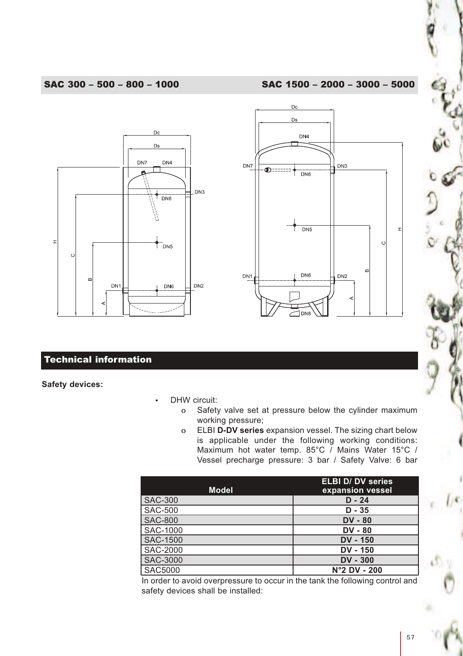#### SAC 300 – 500 – 800 – 1000 SAC 1500 – 2000 – 3000 – 5000





## Technical information

**Safety devices:**

- DHW circuit:
	- o Safety valve set at pressure below the cylinder maximum working pressure;
	- o ELBI **D-DV series** expansion vessel. The sizing chart below is applicable under the following working conditions: Maximum hot water temp. 85°C / Mains Water 15°C / Vessel precharge pressure: 3 bar / Safety Valve: 6 bar

|                | <b>ELBI D/ DV series</b> |
|----------------|--------------------------|
| <b>Model</b>   | expansion vessel         |
| <b>SAC-300</b> | $D - 24$                 |
| SAC-500        | $D - 35$                 |
| <b>SAC-800</b> | $DV - 80$                |
| SAC-1000       | $DV - 80$                |
| SAC-1500       | <b>DV - 150</b>          |
| SAC-2000       | <b>DV - 150</b>          |
| SAC-3000       | $DV - 300$               |
| <b>SAC5000</b> | $N°2$ DV - 200           |

In order to avoid overpressure to occur in the tank the following control and safety devices shall be installed: